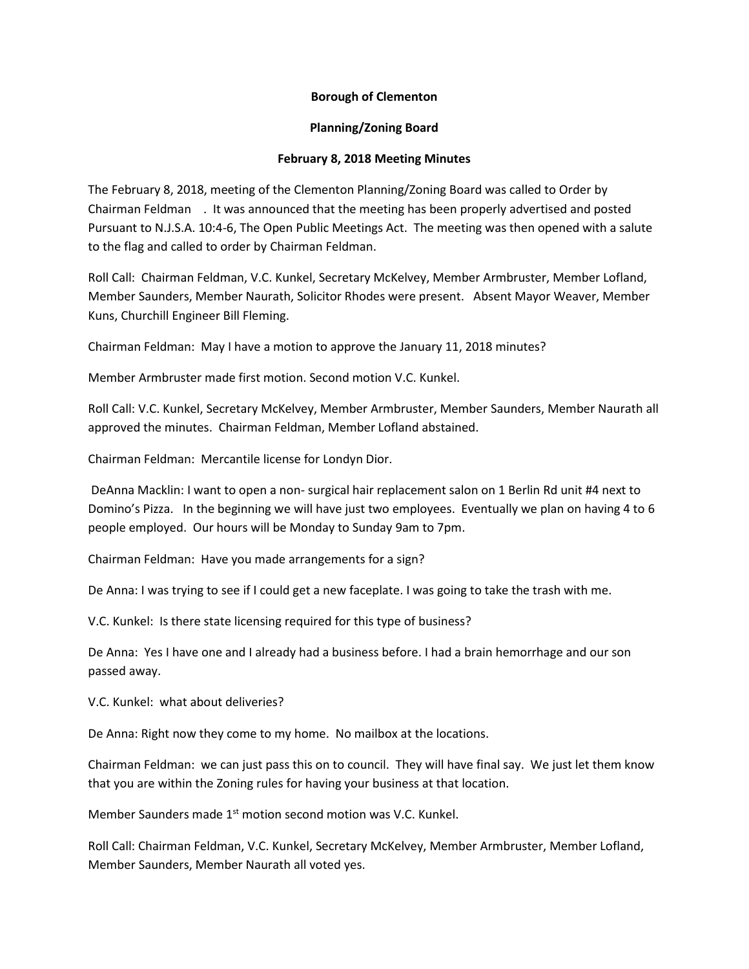## **Borough of Clementon**

## **Planning/Zoning Board**

## **February 8, 2018 Meeting Minutes**

The February 8, 2018, meeting of the Clementon Planning/Zoning Board was called to Order by Chairman Feldman . It was announced that the meeting has been properly advertised and posted Pursuant to N.J.S.A. 10:4-6, The Open Public Meetings Act. The meeting was then opened with a salute to the flag and called to order by Chairman Feldman.

Roll Call: Chairman Feldman, V.C. Kunkel, Secretary McKelvey, Member Armbruster, Member Lofland, Member Saunders, Member Naurath, Solicitor Rhodes were present. Absent Mayor Weaver, Member Kuns, Churchill Engineer Bill Fleming.

Chairman Feldman: May I have a motion to approve the January 11, 2018 minutes?

Member Armbruster made first motion. Second motion V.C. Kunkel.

Roll Call: V.C. Kunkel, Secretary McKelvey, Member Armbruster, Member Saunders, Member Naurath all approved the minutes. Chairman Feldman, Member Lofland abstained.

Chairman Feldman: Mercantile license for Londyn Dior.

DeAnna Macklin: I want to open a non- surgical hair replacement salon on 1 Berlin Rd unit #4 next to Domino's Pizza. In the beginning we will have just two employees. Eventually we plan on having 4 to 6 people employed. Our hours will be Monday to Sunday 9am to 7pm.

Chairman Feldman: Have you made arrangements for a sign?

De Anna: I was trying to see if I could get a new faceplate. I was going to take the trash with me.

V.C. Kunkel: Is there state licensing required for this type of business?

De Anna: Yes I have one and I already had a business before. I had a brain hemorrhage and our son passed away.

V.C. Kunkel: what about deliveries?

De Anna: Right now they come to my home. No mailbox at the locations.

Chairman Feldman: we can just pass this on to council. They will have final say. We just let them know that you are within the Zoning rules for having your business at that location.

Member Saunders made 1<sup>st</sup> motion second motion was V.C. Kunkel.

Roll Call: Chairman Feldman, V.C. Kunkel, Secretary McKelvey, Member Armbruster, Member Lofland, Member Saunders, Member Naurath all voted yes.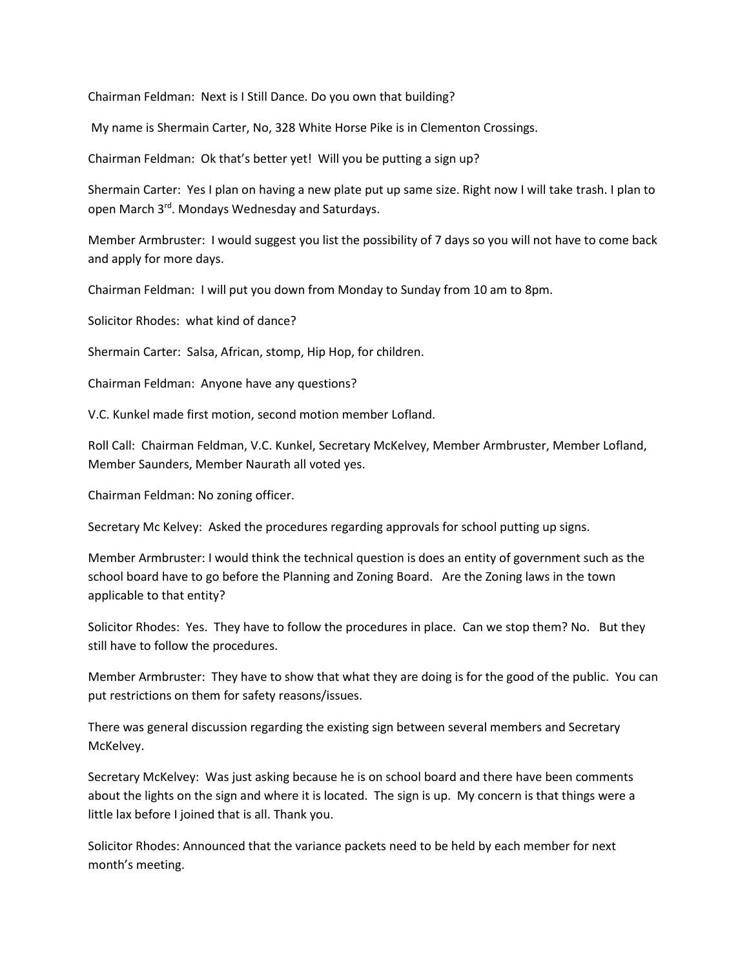Chairman Feldman: Next is I Still Dance. Do you own that building?

My name is Shermain Carter, No, 328 White Horse Pike is in Clementon Crossings.

Chairman Feldman: Ok that's better yet! Will you be putting a sign up?

Shermain Carter: Yes I plan on having a new plate put up same size. Right now I will take trash. I plan to open March 3<sup>rd</sup>. Mondays Wednesday and Saturdays.

Member Armbruster: I would suggest you list the possibility of 7 days so you will not have to come back and apply for more days.

Chairman Feldman: I will put you down from Monday to Sunday from 10 am to 8pm.

Solicitor Rhodes: what kind of dance?

Shermain Carter: Salsa, African, stomp, Hip Hop, for children.

Chairman Feldman: Anyone have any questions?

V.C. Kunkel made first motion, second motion member Lofland.

Roll Call: Chairman Feldman, V.C. Kunkel, Secretary McKelvey, Member Armbruster, Member Lofland, Member Saunders, Member Naurath all voted yes.

Chairman Feldman: No zoning officer.

Secretary Mc Kelvey: Asked the procedures regarding approvals for school putting up signs.

Member Armbruster: I would think the technical question is does an entity of government such as the school board have to go before the Planning and Zoning Board. Are the Zoning laws in the town applicable to that entity?

Solicitor Rhodes: Yes. They have to follow the procedures in place. Can we stop them? No. But they still have to follow the procedures.

Member Armbruster: They have to show that what they are doing is for the good of the public. You can put restrictions on them for safety reasons/issues.

There was general discussion regarding the existing sign between several members and Secretary McKelvey.

Secretary McKelvey: Was just asking because he is on school board and there have been comments about the lights on the sign and where it is located. The sign is up. My concern is that things were a little lax before I joined that is all. Thank you.

Solicitor Rhodes: Announced that the variance packets need to be held by each member for next month's meeting.